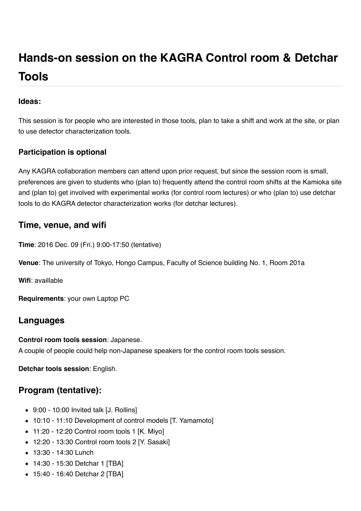# **Hands-on session on the KAGRA Control room & Detchar Tools**

#### **Ideas:**

This session is for people who are interested in those tools, plan to take a shift and work at the site, or plan to use detector characterization tools.

#### **Participation is optional**

Any KAGRA collaboration members can attend upon prior request, but since the session room is small, preferences are given to students who (plan to) frequently attend the control room shifts at the Kamioka site and (plan to) get involved with experimental works (for control room lectures) or who (plan to) use detchar tools to do KAGRA detector characterization works (for detchar lectures).

## **Time, venue, and wifi**

**Time**: 2016 Dec. 09 (Fri.) 9:00-17:50 (tentative)

**Venue**: The university of Tokyo, Hongo Campus, Faculty of Science building No. 1, Room 201a

**Wifi**: availlable

**Requirements**: your own Laptop PC

## **Languages**

**Control room tools session**: Japanese. A couple of people could help non-Japanese speakers for the control room tools session.

**Detchar tools session**: English.

## **Program (tentative):**

- 9:00 10:00 Invited talk [J. Rollins]
- 10:10 11:10 Development of control models [T. Yamamoto]
- 11:20 12:20 Control room tools 1 [K. Miyo]
- 12:20 13:30 Control room tools 2 [Y. Sasaki]
- 13:30 14:30 Lunch
- 14:30 15:30 Detchar 1 [TBA]
- 15:40 16:40 Detchar 2 [TBA]